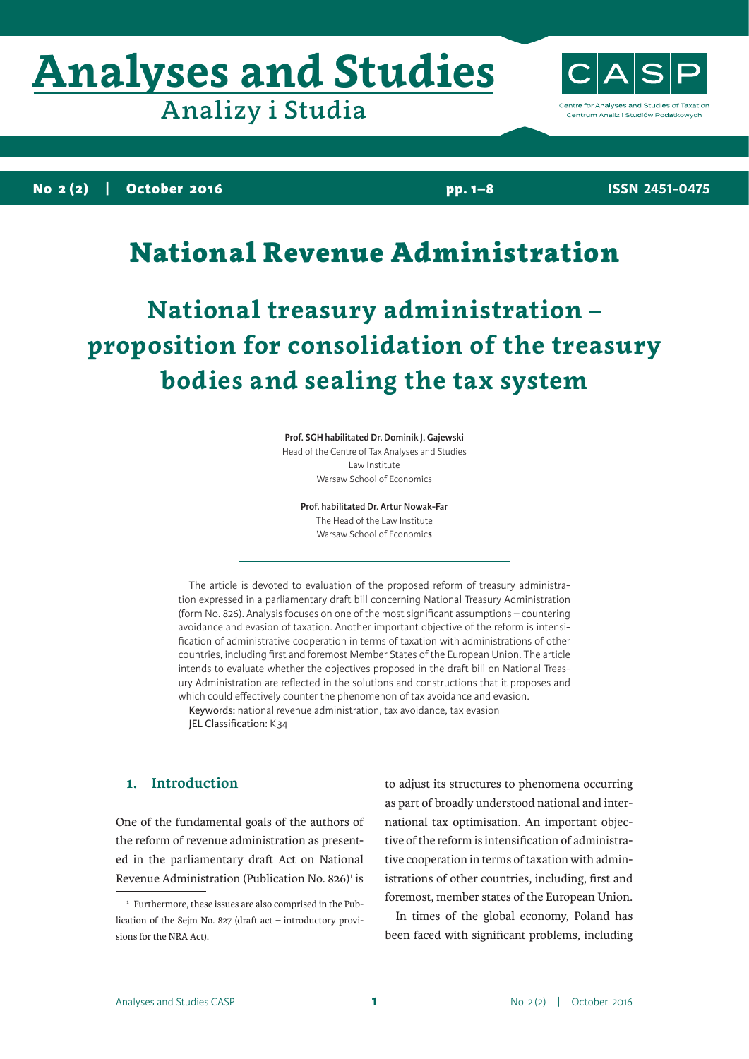# **Analyses and Studies**

Analizy i Studia

ntre for Analyses and Studies of Taxation Centrum Analiz i Studiów Podatkowych

**No 2 (2) | October 2016**

**pp. 1–8**

**ISSN 2451-0475**

## National Revenue Administration

**National treasury administration – proposition for consolidation of the treasury bodies and sealing the tax system**

**Prof. SGH habilitated Dr. Dominik J. Gajewski**

Head of the Centre of Tax Analyses and Studies Law Institute Warsaw School of Economics

**Prof. habilitated Dr. Artur Nowak-Far**

The Head of the Law Institute Warsaw School of Economic**s**

The article is devoted to evaluation of the proposed reform of treasury administration expressed in a parliamentary draft bill concerning National Treasury Administration (form No. 826). Analysis focuses on one of the most significant assumptions – countering avoidance and evasion of taxation. Another important objective of the reform is intensification of administrative cooperation in terms of taxation with administrations of other countries, including first and foremost Member States of the European Union. The article intends to evaluate whether the objectives proposed in the draft bill on National Treasury Administration are reflected in the solutions and constructions that it proposes and which could effectively counter the phenomenon of tax avoidance and evasion.

Keywords: national revenue administration, tax avoidance, tax evasion JEL Classification: K34

### **1. Introduction**

One of the fundamental goals of the authors of the reform of revenue administration as presented in the parliamentary draft Act on National Revenue Administration (Publication No.  $826$ <sup>1</sup> is to adjust its structures to phenomena occurring as part of broadly understood national and international tax optimisation. An important objective of the reform is intensification of administrative cooperation in terms of taxation with administrations of other countries, including, first and foremost, member states of the European Union.

In times of the global economy, Poland has been faced with significant problems, including

<sup>&</sup>lt;sup>1</sup> Furthermore, these issues are also comprised in the Publication of the Sejm No. 827 (draft act – introductory provisions for the NRA Act).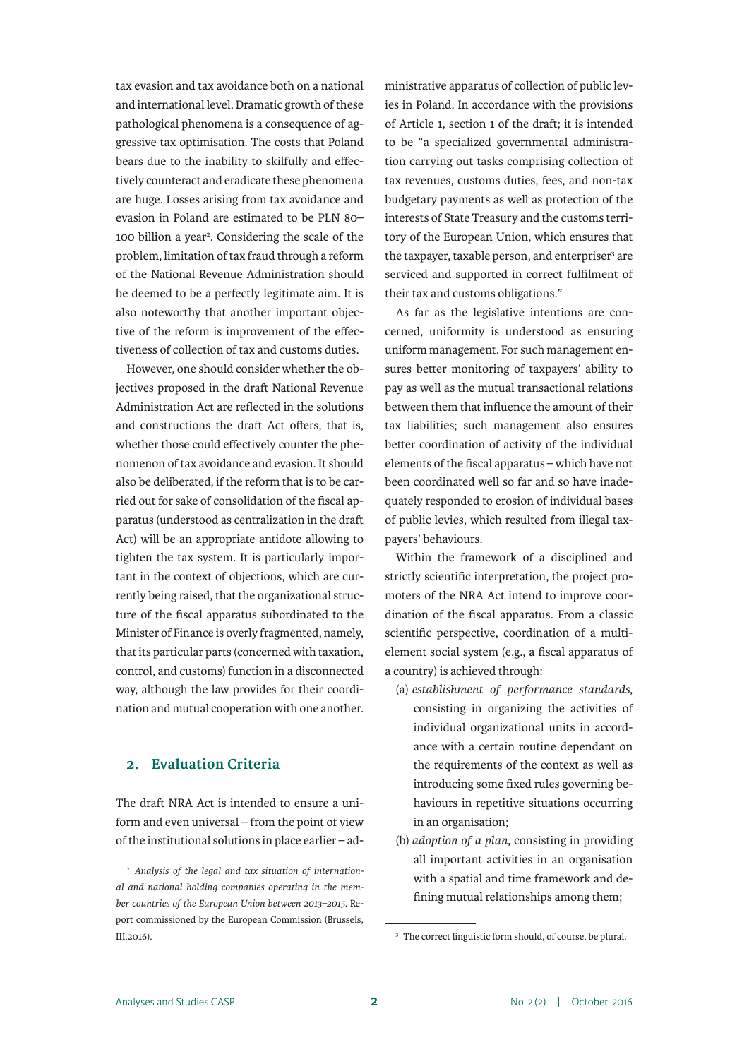tax evasion and tax avoidance both on a national and international level. Dramatic growth of these pathological phenomena is a consequence of aggressive tax optimisation. The costs that Poland bears due to the inability to skilfully and effectively counteract and eradicate these phenomena are huge. Losses arising from tax avoidance and evasion in Poland are estimated to be PLN 80– 100 billion a year<sup>2</sup>. Considering the scale of the problem, limitation of tax fraud through a reform of the National Revenue Administration should be deemed to be a perfectly legitimate aim. It is also noteworthy that another important objective of the reform is improvement of the effectiveness of collection of tax and customs duties.

However, one should consider whether the objectives proposed in the draft National Revenue Administration Act are reflected in the solutions and constructions the draft Act offers, that is, whether those could effectively counter the phenomenon of tax avoidance and evasion. It should also be deliberated, if the reform that is to be carried out for sake of consolidation of the fiscal apparatus (understood as centralization in the draft Act) will be an appropriate antidote allowing to tighten the tax system. It is particularly important in the context of objections, which are currently being raised, that the organizational structure of the fiscal apparatus subordinated to the Minister of Finance is overly fragmented, namely, that its particular parts (concerned with taxation, control, and customs) function in a disconnected way, although the law provides for their coordination and mutual cooperation with one another.

#### **2. Evaluation Criteria**

The draft NRA Act is intended to ensure a uniform and even universal – from the point of view of the institutional solutions in place earlier – administrative apparatus of collection of public levies in Poland. In accordance with the provisions of Article 1, section 1 of the draft; it is intended to be "a specialized governmental administration carrying out tasks comprising collection of tax revenues, customs duties, fees, and non-tax budgetary payments as well as protection of the interests of State Treasury and the customs territory of the European Union, which ensures that the taxpayer, taxable person, and enterpriser<sup>3</sup> are serviced and supported in correct fulfilment of their tax and customs obligations."

As far as the legislative intentions are concerned, uniformity is understood as ensuring uniform management. For such management ensures better monitoring of taxpayers' ability to pay as well as the mutual transactional relations between them that influence the amount of their tax liabilities; such management also ensures better coordination of activity of the individual elements of the fiscal apparatus – which have not been coordinated well so far and so have inadequately responded to erosion of individual bases of public levies, which resulted from illegal taxpayers' behaviours.

Within the framework of a disciplined and strictly scientific interpretation, the project promoters of the NRA Act intend to improve coordination of the fiscal apparatus. From a classic scientific perspective, coordination of a multielement social system (e.g., a fiscal apparatus of a country) is achieved through:

- (a) *establishment of performance standards*, consisting in organizing the activities of individual organizational units in accordance with a certain routine dependant on the requirements of the context as well as introducing some fixed rules governing behaviours in repetitive situations occurring in an organisation;
- (b) *adoption of a plan*, consisting in providing all important activities in an organisation with a spatial and time framework and defining mutual relationships among them;

<sup>2</sup> *Analysis of the legal and tax situation of international and national holding companies operating in the member countries of the European Union between 2013–2015*. Report commissioned by the European Commission (Brussels, III.2016).

<sup>&</sup>lt;sup>3</sup> The correct linguistic form should, of course, be plural.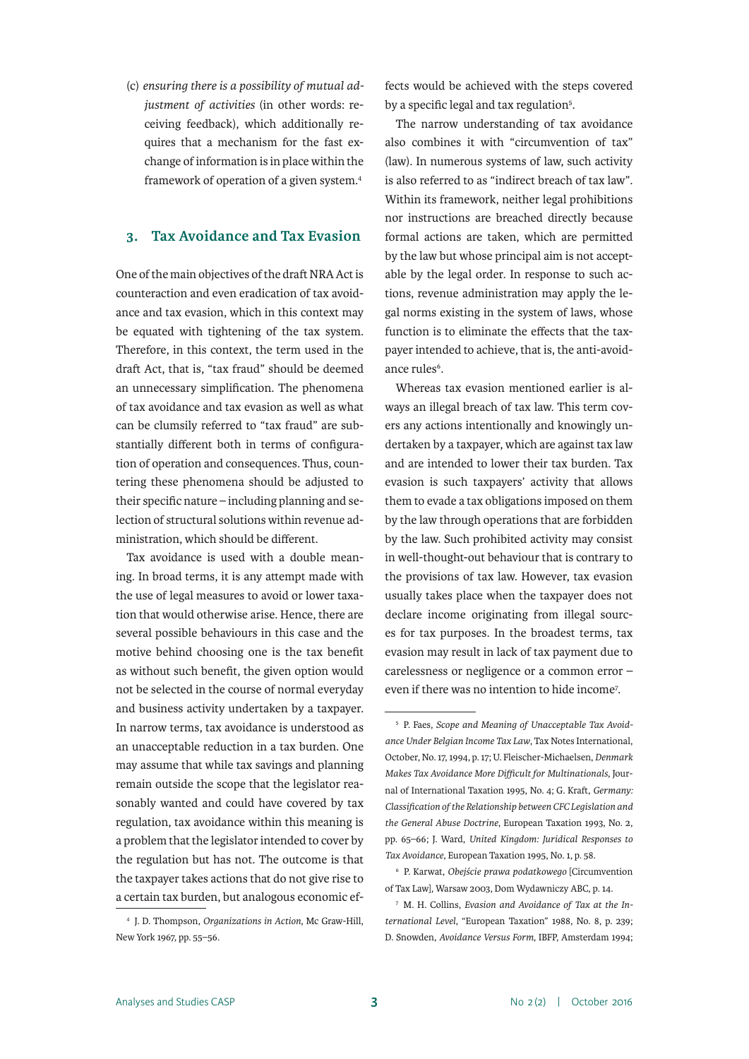(c) *ensuring there is a possibility of mutual adjustment of activities* (in other words: receiving feedback), which additionally requires that a mechanism for the fast exchange of information is in place within the framework of operation of a given system.4

#### **3. Tax Avoidance and Tax Evasion**

One of the main objectives of the draft NRA Act is counteraction and even eradication of tax avoidance and tax evasion, which in this context may be equated with tightening of the tax system. Therefore, in this context, the term used in the draft Act, that is, "tax fraud" should be deemed an unnecessary simplification. The phenomena of tax avoidance and tax evasion as well as what can be clumsily referred to "tax fraud" are substantially different both in terms of configuration of operation and consequences. Thus, countering these phenomena should be adjusted to their specific nature – including planning and selection of structural solutions within revenue administration, which should be different.

Tax avoidance is used with a double meaning. In broad terms, it is any attempt made with the use of legal measures to avoid or lower taxation that would otherwise arise. Hence, there are several possible behaviours in this case and the motive behind choosing one is the tax benefit as without such benefit, the given option would not be selected in the course of normal everyday and business activity undertaken by a taxpayer. In narrow terms, tax avoidance is understood as an unacceptable reduction in a tax burden. One may assume that while tax savings and planning remain outside the scope that the legislator reasonably wanted and could have covered by tax regulation, tax avoidance within this meaning is a problem that the legislator intended to cover by the regulation but has not. The outcome is that the taxpayer takes actions that do not give rise to a certain tax burden, but analogous economic ef-

<sup>4</sup> J. D. Thompson, *Organizations in Action*, Mc Graw-Hill, New York 1967, pp. 55–56.

fects would be achieved with the steps covered by a specific legal and tax regulation<sup>5</sup>.

The narrow understanding of tax avoidance also combines it with "circumvention of tax" (law). In numerous systems of law, such activity is also referred to as "indirect breach of tax law". Within its framework, neither legal prohibitions nor instructions are breached directly because formal actions are taken, which are permitted by the law but whose principal aim is not acceptable by the legal order. In response to such actions, revenue administration may apply the legal norms existing in the system of laws, whose function is to eliminate the effects that the taxpayer intended to achieve, that is, the anti-avoidance rules<sup>6</sup>.

Whereas tax evasion mentioned earlier is always an illegal breach of tax law. This term covers any actions intentionally and knowingly undertaken by a taxpayer, which are against tax law and are intended to lower their tax burden. Tax evasion is such taxpayers' activity that allows them to evade a tax obligations imposed on them by the law through operations that are forbidden by the law. Such prohibited activity may consist in well-thought-out behaviour that is contrary to the provisions of tax law. However, tax evasion usually takes place when the taxpayer does not declare income originating from illegal sources for tax purposes. In the broadest terms, tax evasion may result in lack of tax payment due to carelessness or negligence or a common error – even if there was no intention to hide income<sup>7</sup>.

<sup>5</sup> P. Faes, *Scope and Meaning of Unacceptable Tax Avoidance Under Belgian Income Tax Law*, Tax Notes International, October, No. 17, 1994, p. 17; U. Fleischer-Michaelsen, *Denmark Makes Tax Avoidance More Difficult for Multinationals*, Journal of International Taxation 1995, No. 4; G. Kraft, *Germany: Classification of the Relationship between CFC Legislation and the General Abuse Doctrine*, European Taxation 1993, No. 2, pp. 65–66; J. Ward, *United Kingdom: Juridical Responses to Tax Avoidance*, European Taxation 1995, No. 1, p. 58.

<sup>6</sup> P. Karwat, *Obejście prawa podatkowego* [Circumvention of Tax Law], Warsaw 2003, Dom Wydawniczy ABC, p. 14.

<sup>7</sup> M. H. Collins, *Evasion and Avoidance of Tax at the International Level*, "European Taxation" 1988, No. 8, p. 239; D. Snowden, *Avoidance Versus Form*, IBFP, Amsterdam 1994;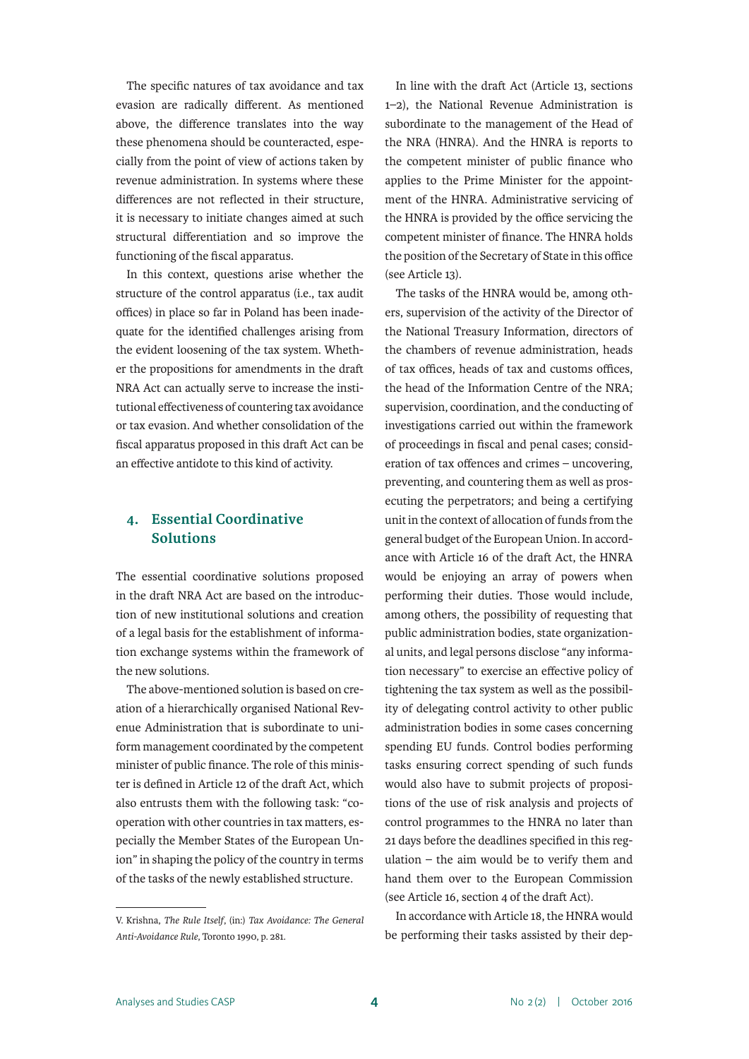The specific natures of tax avoidance and tax evasion are radically different. As mentioned above, the difference translates into the way these phenomena should be counteracted, especially from the point of view of actions taken by revenue administration. In systems where these differences are not reflected in their structure, it is necessary to initiate changes aimed at such structural differentiation and so improve the functioning of the fiscal apparatus.

In this context, questions arise whether the structure of the control apparatus (i.e., tax audit offices) in place so far in Poland has been inadequate for the identified challenges arising from the evident loosening of the tax system. Whether the propositions for amendments in the draft NRA Act can actually serve to increase the institutional effectiveness of countering tax avoidance or tax evasion. And whether consolidation of the fiscal apparatus proposed in this draft Act can be an effective antidote to this kind of activity.

### **4. Essential Coordinative Solutions**

The essential coordinative solutions proposed in the draft NRA Act are based on the introduction of new institutional solutions and creation of a legal basis for the establishment of information exchange systems within the framework of the new solutions.

The above-mentioned solution is based on creation of a hierarchically organised National Revenue Administration that is subordinate to uniform management coordinated by the competent minister of public finance. The role of this minister is defined in Article 12 of the draft Act, which also entrusts them with the following task: "cooperation with other countries in tax matters, especially the Member States of the European Union" in shaping the policy of the country in terms of the tasks of the newly established structure.

In line with the draft Act (Article 13, sections 1–2), the National Revenue Administration is subordinate to the management of the Head of the NRA (HNRA). And the HNRA is reports to the competent minister of public finance who applies to the Prime Minister for the appointment of the HNRA. Administrative servicing of the HNRA is provided by the office servicing the competent minister of finance. The HNRA holds the position of the Secretary of State in this office (see Article 13).

The tasks of the HNRA would be, among others, supervision of the activity of the Director of the National Treasury Information, directors of the chambers of revenue administration, heads of tax offices, heads of tax and customs offices, the head of the Information Centre of the NRA; supervision, coordination, and the conducting of investigations carried out within the framework of proceedings in fiscal and penal cases; consideration of tax offences and crimes – uncovering, preventing, and countering them as well as prosecuting the perpetrators; and being a certifying unit in the context of allocation of funds from the general budget of the European Union. In accordance with Article 16 of the draft Act, the HNRA would be enjoying an array of powers when performing their duties. Those would include, among others, the possibility of requesting that public administration bodies, state organizational units, and legal persons disclose "any information necessary" to exercise an effective policy of tightening the tax system as well as the possibility of delegating control activity to other public administration bodies in some cases concerning spending EU funds. Control bodies performing tasks ensuring correct spending of such funds would also have to submit projects of propositions of the use of risk analysis and projects of control programmes to the HNRA no later than 21 days before the deadlines specified in this regulation – the aim would be to verify them and hand them over to the European Commission (see Article 16, section 4 of the draft Act).

In accordance with Article 18, the HNRA would be performing their tasks assisted by their dep-

V. Krishna, *The Rule Itself*, (in:) *Tax Avoidance: The General Anti-Avoidance Rule*, Toronto 1990, p. 281.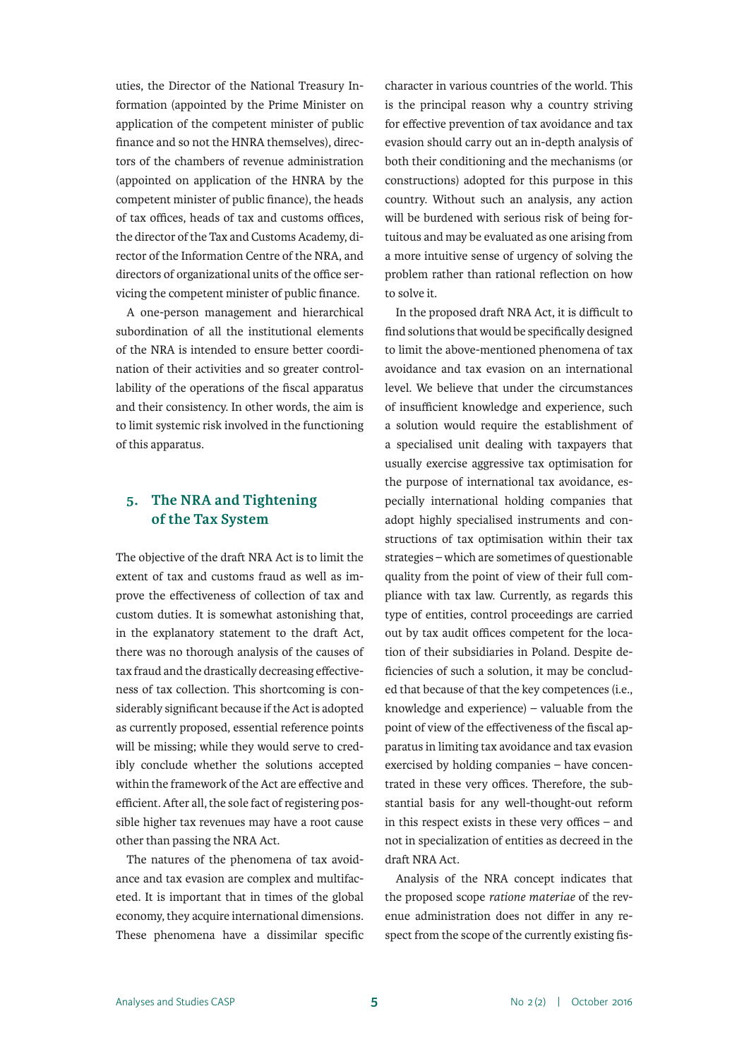uties, the Director of the National Treasury Information (appointed by the Prime Minister on application of the competent minister of public finance and so not the HNRA themselves), directors of the chambers of revenue administration (appointed on application of the HNRA by the competent minister of public finance), the heads of tax offices, heads of tax and customs offices, the director of the Tax and Customs Academy, director of the Information Centre of the NRA, and directors of organizational units of the office servicing the competent minister of public finance.

A one-person management and hierarchical subordination of all the institutional elements of the NRA is intended to ensure better coordination of their activities and so greater controllability of the operations of the fiscal apparatus and their consistency. In other words, the aim is to limit systemic risk involved in the functioning of this apparatus.

#### **5. The NRA and Tightening of the Tax System**

The objective of the draft NRA Act is to limit the extent of tax and customs fraud as well as improve the effectiveness of collection of tax and custom duties. It is somewhat astonishing that, in the explanatory statement to the draft Act, there was no thorough analysis of the causes of tax fraud and the drastically decreasing effectiveness of tax collection. This shortcoming is considerably significant because if the Act is adopted as currently proposed, essential reference points will be missing; while they would serve to credibly conclude whether the solutions accepted within the framework of the Act are effective and efficient. After all, the sole fact of registering possible higher tax revenues may have a root cause other than passing the NRA Act.

The natures of the phenomena of tax avoidance and tax evasion are complex and multifaceted. It is important that in times of the global economy, they acquire international dimensions. These phenomena have a dissimilar specific character in various countries of the world. This is the principal reason why a country striving for effective prevention of tax avoidance and tax evasion should carry out an in-depth analysis of both their conditioning and the mechanisms (or constructions) adopted for this purpose in this country. Without such an analysis, any action will be burdened with serious risk of being fortuitous and may be evaluated as one arising from a more intuitive sense of urgency of solving the problem rather than rational reflection on how to solve it.

In the proposed draft NRA Act, it is difficult to find solutions that would be specifically designed to limit the above-mentioned phenomena of tax avoidance and tax evasion on an international level. We believe that under the circumstances of insufficient knowledge and experience, such a solution would require the establishment of a specialised unit dealing with taxpayers that usually exercise aggressive tax optimisation for the purpose of international tax avoidance, especially international holding companies that adopt highly specialised instruments and constructions of tax optimisation within their tax strategies – which are sometimes of questionable quality from the point of view of their full compliance with tax law. Currently, as regards this type of entities, control proceedings are carried out by tax audit offices competent for the location of their subsidiaries in Poland. Despite deficiencies of such a solution, it may be concluded that because of that the key competences (i.e., knowledge and experience) – valuable from the point of view of the effectiveness of the fiscal apparatus in limiting tax avoidance and tax evasion exercised by holding companies – have concentrated in these very offices. Therefore, the substantial basis for any well-thought-out reform in this respect exists in these very offices – and not in specialization of entities as decreed in the draft NRA Act.

Analysis of the NRA concept indicates that the proposed scope *ratione materiae* of the revenue administration does not differ in any respect from the scope of the currently existing fis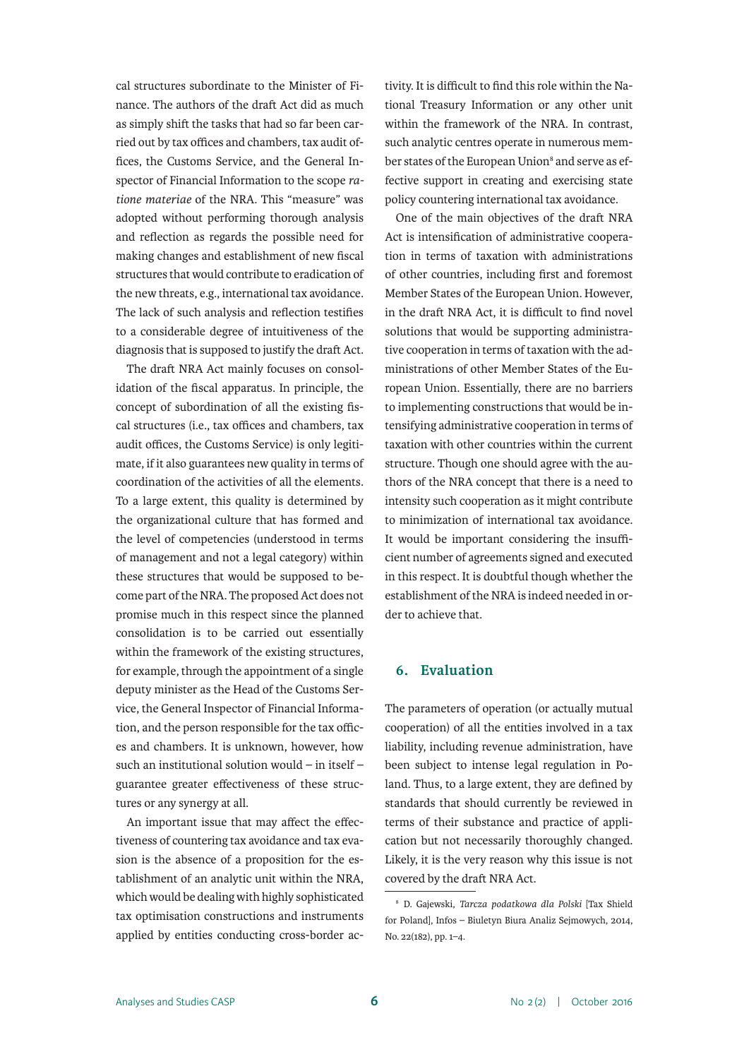cal structures subordinate to the Minister of Finance. The authors of the draft Act did as much as simply shift the tasks that had so far been carried out by tax offices and chambers, tax audit offices, the Customs Service, and the General Inspector of Financial Information to the scope *ratione materiae* of the NRA. This "measure" was adopted without performing thorough analysis and reflection as regards the possible need for making changes and establishment of new fiscal structures that would contribute to eradication of the new threats, e.g., international tax avoidance. The lack of such analysis and reflection testifies to a considerable degree of intuitiveness of the diagnosis that is supposed to justify the draft Act.

The draft NRA Act mainly focuses on consolidation of the fiscal apparatus. In principle, the concept of subordination of all the existing fiscal structures (i.e., tax offices and chambers, tax audit offices, the Customs Service) is only legitimate, if it also guarantees new quality in terms of coordination of the activities of all the elements. To a large extent, this quality is determined by the organizational culture that has formed and the level of competencies (understood in terms of management and not a legal category) within these structures that would be supposed to become part of the NRA. The proposed Act does not promise much in this respect since the planned consolidation is to be carried out essentially within the framework of the existing structures, for example, through the appointment of a single deputy minister as the Head of the Customs Service, the General Inspector of Financial Information, and the person responsible for the tax offices and chambers. It is unknown, however, how such an institutional solution would – in itself – guarantee greater effectiveness of these structures or any synergy at all.

An important issue that may affect the effectiveness of countering tax avoidance and tax evasion is the absence of a proposition for the establishment of an analytic unit within the NRA, which would be dealing with highly sophisticated tax optimisation constructions and instruments applied by entities conducting cross-border activity. It is difficult to find this role within the National Treasury Information or any other unit within the framework of the NRA. In contrast, such analytic centres operate in numerous member states of the European Union<sup>8</sup> and serve as effective support in creating and exercising state policy countering international tax avoidance.

One of the main objectives of the draft NRA Act is intensification of administrative cooperation in terms of taxation with administrations of other countries, including first and foremost Member States of the European Union. However, in the draft NRA Act, it is difficult to find novel solutions that would be supporting administrative cooperation in terms of taxation with the administrations of other Member States of the European Union. Essentially, there are no barriers to implementing constructions that would be intensifying administrative cooperation in terms of taxation with other countries within the current structure. Though one should agree with the authors of the NRA concept that there is a need to intensity such cooperation as it might contribute to minimization of international tax avoidance. It would be important considering the insufficient number of agreements signed and executed in this respect. It is doubtful though whether the establishment of the NRA is indeed needed in order to achieve that.

#### **6. Evaluation**

The parameters of operation (or actually mutual cooperation) of all the entities involved in a tax liability, including revenue administration, have been subject to intense legal regulation in Poland. Thus, to a large extent, they are defined by standards that should currently be reviewed in terms of their substance and practice of application but not necessarily thoroughly changed. Likely, it is the very reason why this issue is not covered by the draft NRA Act.

<sup>8</sup> D. Gajewski, *Tarcza podatkowa dla Polski* [Tax Shield for Poland], Infos – Biuletyn Biura Analiz Sejmowych, 2014, No. 22(182), pp. 1–4.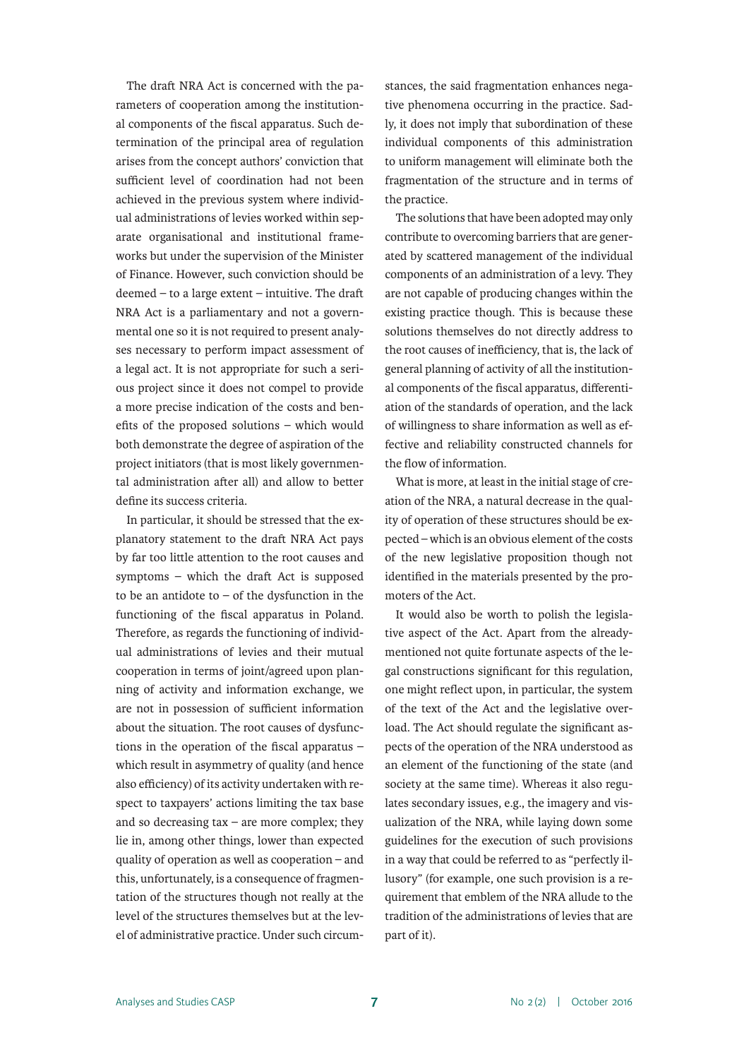The draft NRA Act is concerned with the parameters of cooperation among the institutional components of the fiscal apparatus. Such determination of the principal area of regulation arises from the concept authors' conviction that sufficient level of coordination had not been achieved in the previous system where individual administrations of levies worked within separate organisational and institutional frameworks but under the supervision of the Minister of Finance. However, such conviction should be deemed – to a large extent – intuitive. The draft NRA Act is a parliamentary and not a governmental one so it is not required to present analyses necessary to perform impact assessment of a legal act. It is not appropriate for such a serious project since it does not compel to provide a more precise indication of the costs and benefits of the proposed solutions – which would both demonstrate the degree of aspiration of the project initiators (that is most likely governmental administration after all) and allow to better define its success criteria.

In particular, it should be stressed that the explanatory statement to the draft NRA Act pays by far too little attention to the root causes and symptoms – which the draft Act is supposed to be an antidote to  $-$  of the dysfunction in the functioning of the fiscal apparatus in Poland. Therefore, as regards the functioning of individual administrations of levies and their mutual cooperation in terms of joint/agreed upon planning of activity and information exchange, we are not in possession of sufficient information about the situation. The root causes of dysfunctions in the operation of the fiscal apparatus – which result in asymmetry of quality (and hence also efficiency) of its activity undertaken with respect to taxpayers' actions limiting the tax base and so decreasing  $tax - are more complex; they$ lie in, among other things, lower than expected quality of operation as well as cooperation – and this, unfortunately, is a consequence of fragmentation of the structures though not really at the level of the structures themselves but at the level of administrative practice. Under such circumstances, the said fragmentation enhances negative phenomena occurring in the practice. Sadly, it does not imply that subordination of these individual components of this administration to uniform management will eliminate both the fragmentation of the structure and in terms of the practice.

The solutions that have been adopted may only contribute to overcoming barriers that are generated by scattered management of the individual components of an administration of a levy. They are not capable of producing changes within the existing practice though. This is because these solutions themselves do not directly address to the root causes of inefficiency, that is, the lack of general planning of activity of all the institutional components of the fiscal apparatus, differentiation of the standards of operation, and the lack of willingness to share information as well as effective and reliability constructed channels for the flow of information.

What is more, at least in the initial stage of creation of the NRA, a natural decrease in the quality of operation of these structures should be expected – which is an obvious element of the costs of the new legislative proposition though not identified in the materials presented by the promoters of the Act.

It would also be worth to polish the legislative aspect of the Act. Apart from the alreadymentioned not quite fortunate aspects of the legal constructions significant for this regulation, one might reflect upon, in particular, the system of the text of the Act and the legislative overload. The Act should regulate the significant aspects of the operation of the NRA understood as an element of the functioning of the state (and society at the same time). Whereas it also regulates secondary issues, e.g., the imagery and visualization of the NRA, while laying down some guidelines for the execution of such provisions in a way that could be referred to as "perfectly illusory" (for example, one such provision is a requirement that emblem of the NRA allude to the tradition of the administrations of levies that are part of it).